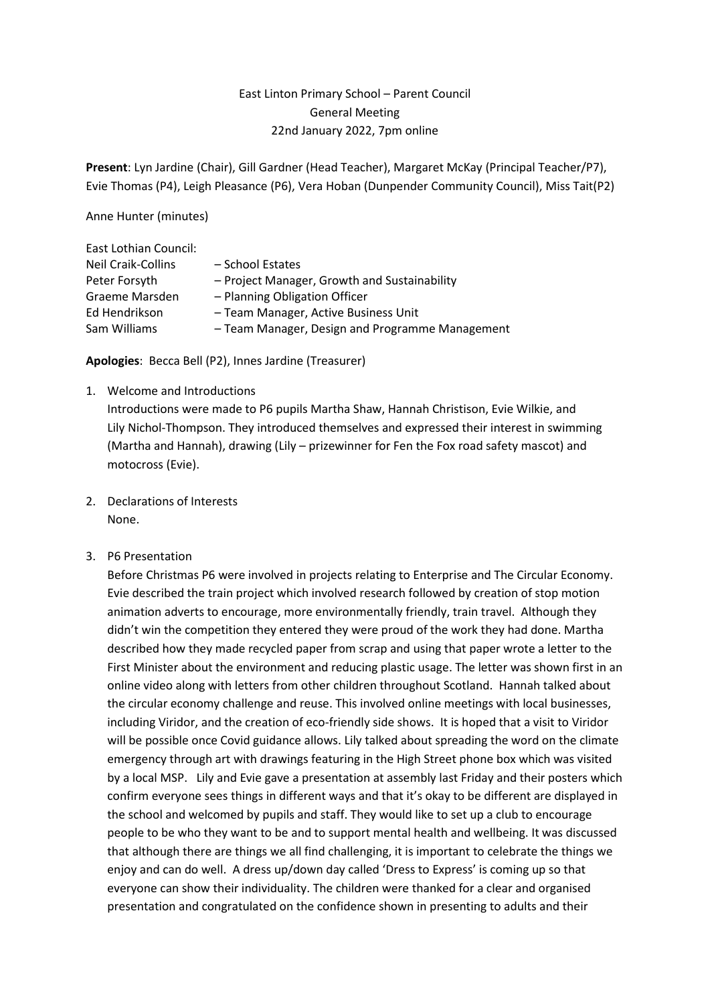# East Linton Primary School – Parent Council General Meeting 22nd January 2022, 7pm online

**Present**: Lyn Jardine (Chair), Gill Gardner (Head Teacher), Margaret McKay (Principal Teacher/P7), Evie Thomas (P4), Leigh Pleasance (P6), Vera Hoban (Dunpender Community Council), Miss Tait(P2)

Anne Hunter (minutes)

| - School Estates                                |
|-------------------------------------------------|
| - Project Manager, Growth and Sustainability    |
| - Planning Obligation Officer                   |
| - Team Manager, Active Business Unit            |
| - Team Manager, Design and Programme Management |
|                                                 |

**Apologies**: Becca Bell (P2), Innes Jardine (Treasurer)

1. Welcome and Introductions

Introductions were made to P6 pupils Martha Shaw, Hannah Christison, Evie Wilkie, and Lily Nichol-Thompson. They introduced themselves and expressed their interest in swimming (Martha and Hannah), drawing (Lily – prizewinner for Fen the Fox road safety mascot) and motocross (Evie).

- 2. Declarations of Interests None.
- 3. P6 Presentation

Before Christmas P6 were involved in projects relating to Enterprise and The Circular Economy. Evie described the train project which involved research followed by creation of stop motion animation adverts to encourage, more environmentally friendly, train travel. Although they didn't win the competition they entered they were proud of the work they had done. Martha described how they made recycled paper from scrap and using that paper wrote a letter to the First Minister about the environment and reducing plastic usage. The letter was shown first in an online video along with letters from other children throughout Scotland. Hannah talked about the circular economy challenge and reuse. This involved online meetings with local businesses, including Viridor, and the creation of eco-friendly side shows. It is hoped that a visit to Viridor will be possible once Covid guidance allows. Lily talked about spreading the word on the climate emergency through art with drawings featuring in the High Street phone box which was visited by a local MSP. Lily and Evie gave a presentation at assembly last Friday and their posters which confirm everyone sees things in different ways and that it's okay to be different are displayed in the school and welcomed by pupils and staff. They would like to set up a club to encourage people to be who they want to be and to support mental health and wellbeing. It was discussed that although there are things we all find challenging, it is important to celebrate the things we enjoy and can do well. A dress up/down day called 'Dress to Express' is coming up so that everyone can show their individuality. The children were thanked for a clear and organised presentation and congratulated on the confidence shown in presenting to adults and their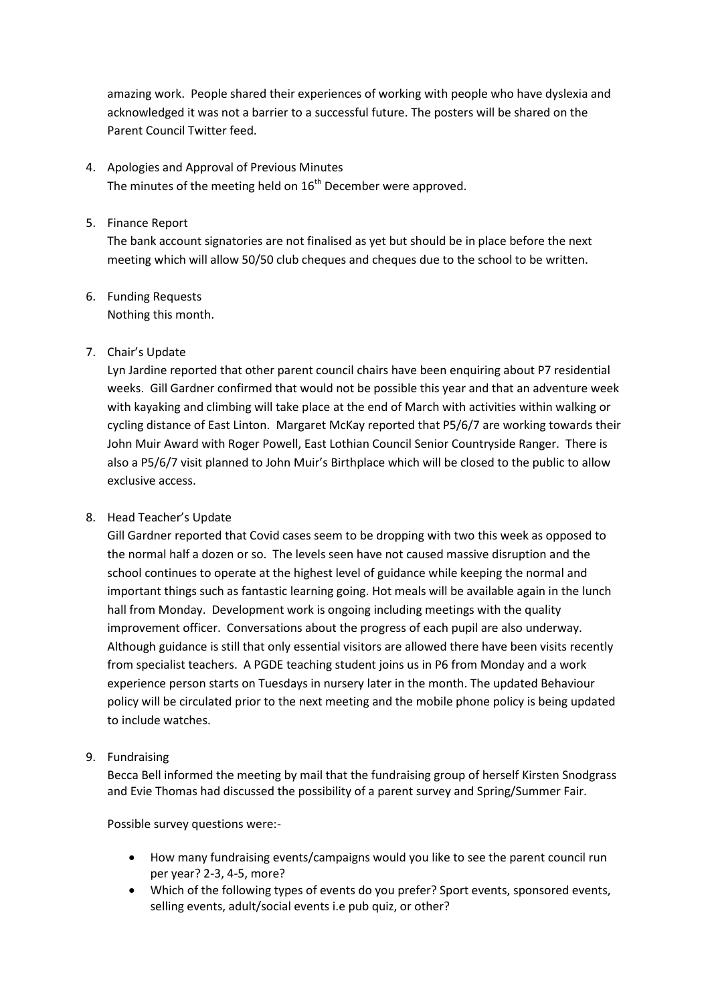amazing work. People shared their experiences of working with people who have dyslexia and acknowledged it was not a barrier to a successful future. The posters will be shared on the Parent Council Twitter feed.

4. Apologies and Approval of Previous Minutes The minutes of the meeting held on  $16^{th}$  December were approved.

## 5. Finance Report

The bank account signatories are not finalised as yet but should be in place before the next meeting which will allow 50/50 club cheques and cheques due to the school to be written.

6. Funding Requests Nothing this month.

## 7. Chair's Update

Lyn Jardine reported that other parent council chairs have been enquiring about P7 residential weeks. Gill Gardner confirmed that would not be possible this year and that an adventure week with kayaking and climbing will take place at the end of March with activities within walking or cycling distance of East Linton. Margaret McKay reported that P5/6/7 are working towards their John Muir Award with Roger Powell, East Lothian Council Senior Countryside Ranger. There is also a P5/6/7 visit planned to John Muir's Birthplace which will be closed to the public to allow exclusive access.

### 8. Head Teacher's Update

Gill Gardner reported that Covid cases seem to be dropping with two this week as opposed to the normal half a dozen or so. The levels seen have not caused massive disruption and the school continues to operate at the highest level of guidance while keeping the normal and important things such as fantastic learning going. Hot meals will be available again in the lunch hall from Monday. Development work is ongoing including meetings with the quality improvement officer. Conversations about the progress of each pupil are also underway. Although guidance is still that only essential visitors are allowed there have been visits recently from specialist teachers. A PGDE teaching student joins us in P6 from Monday and a work experience person starts on Tuesdays in nursery later in the month. The updated Behaviour policy will be circulated prior to the next meeting and the mobile phone policy is being updated to include watches.

9. Fundraising

Becca Bell informed the meeting by mail that the fundraising group of herself Kirsten Snodgrass and Evie Thomas had discussed the possibility of a parent survey and Spring/Summer Fair.

Possible survey questions were:-

- How many fundraising events/campaigns would you like to see the parent council run per year? 2-3, 4-5, more?
- Which of the following types of events do you prefer? Sport events, sponsored events, selling events, adult/social events i.e pub quiz, or other?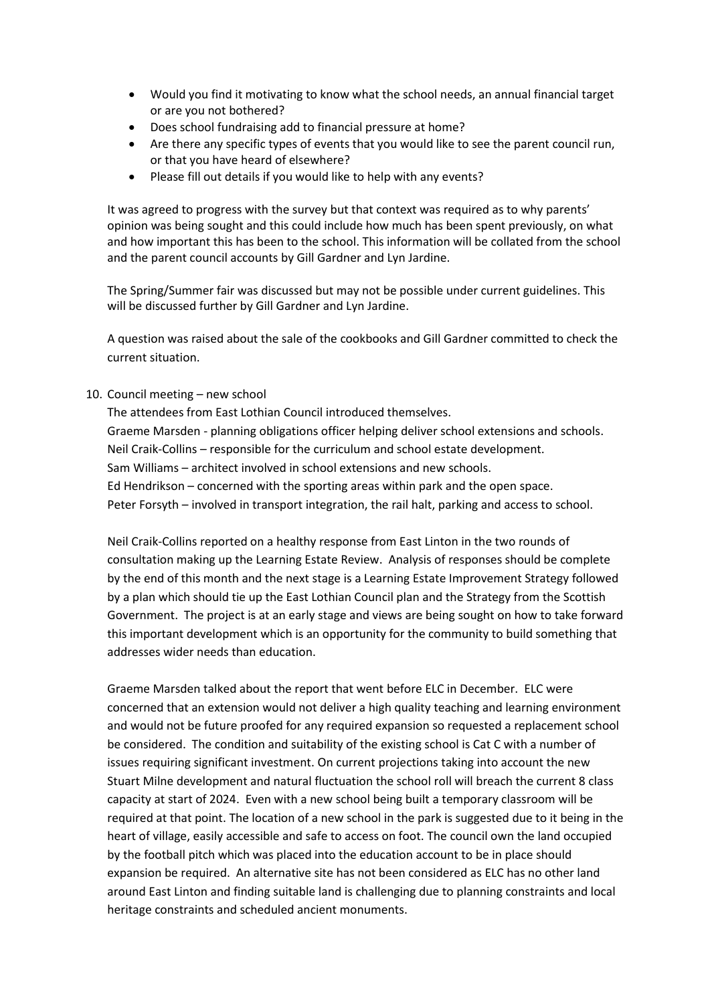- Would you find it motivating to know what the school needs, an annual financial target or are you not bothered?
- Does school fundraising add to financial pressure at home?
- Are there any specific types of events that you would like to see the parent council run, or that you have heard of elsewhere?
- Please fill out details if you would like to help with any events?

It was agreed to progress with the survey but that context was required as to why parents' opinion was being sought and this could include how much has been spent previously, on what and how important this has been to the school. This information will be collated from the school and the parent council accounts by Gill Gardner and Lyn Jardine.

The Spring/Summer fair was discussed but may not be possible under current guidelines. This will be discussed further by Gill Gardner and Lyn Jardine.

A question was raised about the sale of the cookbooks and Gill Gardner committed to check the current situation.

#### 10. Council meeting – new school

The attendees from East Lothian Council introduced themselves. Graeme Marsden - planning obligations officer helping deliver school extensions and schools. Neil Craik-Collins – responsible for the curriculum and school estate development. Sam Williams – architect involved in school extensions and new schools. Ed Hendrikson – concerned with the sporting areas within park and the open space. Peter Forsyth – involved in transport integration, the rail halt, parking and access to school.

Neil Craik-Collins reported on a healthy response from East Linton in the two rounds of consultation making up the Learning Estate Review. Analysis of responses should be complete by the end of this month and the next stage is a Learning Estate Improvement Strategy followed by a plan which should tie up the East Lothian Council plan and the Strategy from the Scottish Government. The project is at an early stage and views are being sought on how to take forward this important development which is an opportunity for the community to build something that addresses wider needs than education.

Graeme Marsden talked about the report that went before ELC in December. ELC were concerned that an extension would not deliver a high quality teaching and learning environment and would not be future proofed for any required expansion so requested a replacement school be considered. The condition and suitability of the existing school is Cat C with a number of issues requiring significant investment. On current projections taking into account the new Stuart Milne development and natural fluctuation the school roll will breach the current 8 class capacity at start of 2024. Even with a new school being built a temporary classroom will be required at that point. The location of a new school in the park is suggested due to it being in the heart of village, easily accessible and safe to access on foot. The council own the land occupied by the football pitch which was placed into the education account to be in place should expansion be required. An alternative site has not been considered as ELC has no other land around East Linton and finding suitable land is challenging due to planning constraints and local heritage constraints and scheduled ancient monuments.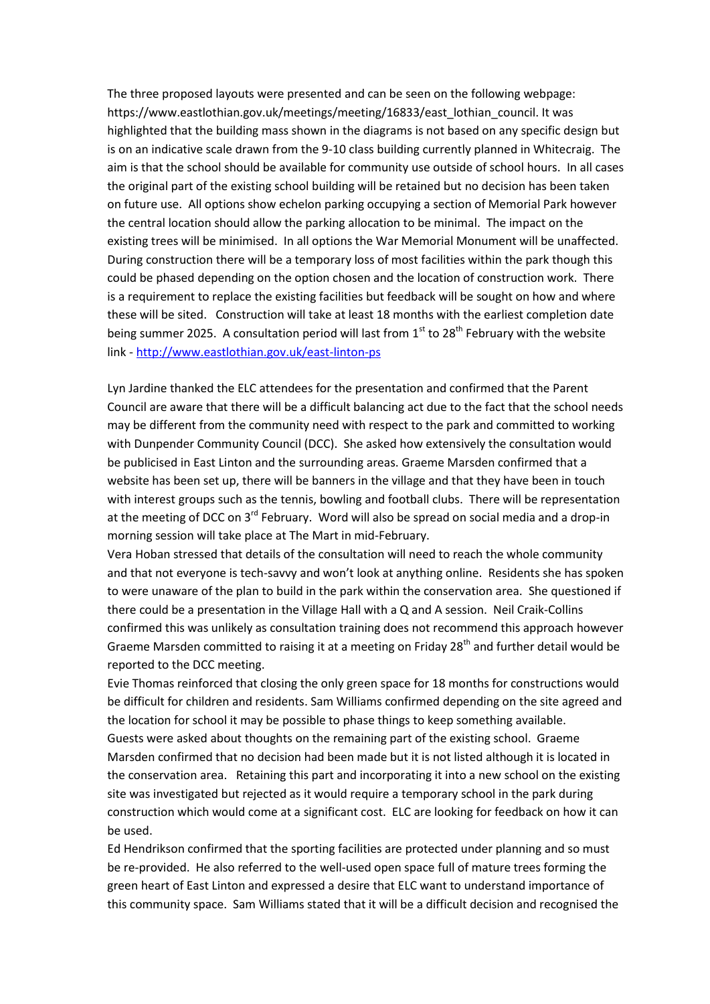The three proposed layouts were presented and can be seen on the following webpage: https://www.eastlothian.gov.uk/meetings/meeting/16833/east\_lothian\_council. It was highlighted that the building mass shown in the diagrams is not based on any specific design but is on an indicative scale drawn from the 9-10 class building currently planned in Whitecraig. The aim is that the school should be available for community use outside of school hours. In all cases the original part of the existing school building will be retained but no decision has been taken on future use. All options show echelon parking occupying a section of Memorial Park however the central location should allow the parking allocation to be minimal. The impact on the existing trees will be minimised. In all options the War Memorial Monument will be unaffected. During construction there will be a temporary loss of most facilities within the park though this could be phased depending on the option chosen and the location of construction work. There is a requirement to replace the existing facilities but feedback will be sought on how and where these will be sited. Construction will take at least 18 months with the earliest completion date being summer 2025. A consultation period will last from  $1<sup>st</sup>$  to 28<sup>th</sup> February with the website link - <http://www.eastlothian.gov.uk/east-linton-ps>

Lyn Jardine thanked the ELC attendees for the presentation and confirmed that the Parent Council are aware that there will be a difficult balancing act due to the fact that the school needs may be different from the community need with respect to the park and committed to working with Dunpender Community Council (DCC). She asked how extensively the consultation would be publicised in East Linton and the surrounding areas. Graeme Marsden confirmed that a website has been set up, there will be banners in the village and that they have been in touch with interest groups such as the tennis, bowling and football clubs. There will be representation at the meeting of DCC on  $3^{rd}$  February. Word will also be spread on social media and a drop-in morning session will take place at The Mart in mid-February.

Vera Hoban stressed that details of the consultation will need to reach the whole community and that not everyone is tech-savvy and won't look at anything online. Residents she has spoken to were unaware of the plan to build in the park within the conservation area. She questioned if there could be a presentation in the Village Hall with a Q and A session. Neil Craik-Collins confirmed this was unlikely as consultation training does not recommend this approach however Graeme Marsden committed to raising it at a meeting on Friday 28<sup>th</sup> and further detail would be reported to the DCC meeting.

Evie Thomas reinforced that closing the only green space for 18 months for constructions would be difficult for children and residents. Sam Williams confirmed depending on the site agreed and the location for school it may be possible to phase things to keep something available. Guests were asked about thoughts on the remaining part of the existing school. Graeme Marsden confirmed that no decision had been made but it is not listed although it is located in the conservation area. Retaining this part and incorporating it into a new school on the existing site was investigated but rejected as it would require a temporary school in the park during construction which would come at a significant cost. ELC are looking for feedback on how it can be used.

Ed Hendrikson confirmed that the sporting facilities are protected under planning and so must be re-provided. He also referred to the well-used open space full of mature trees forming the green heart of East Linton and expressed a desire that ELC want to understand importance of this community space. Sam Williams stated that it will be a difficult decision and recognised the